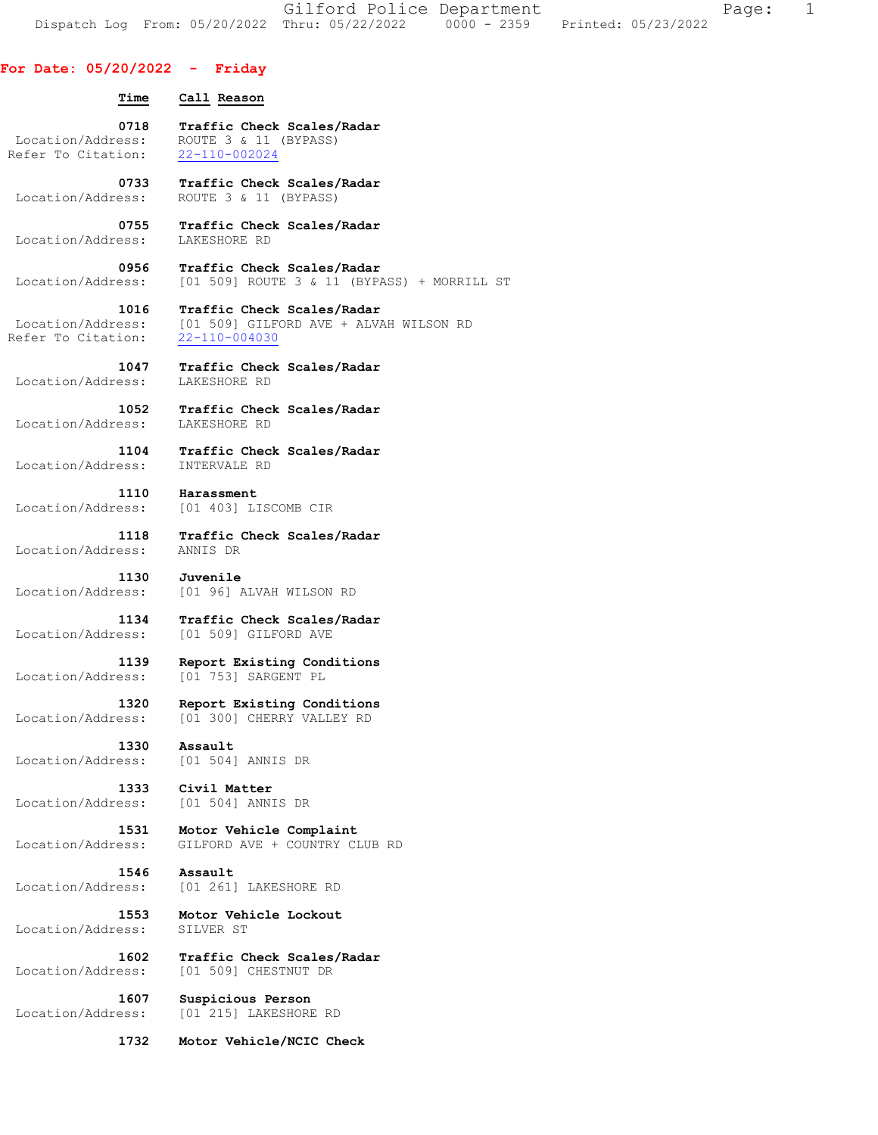Gilford Police Department The Page: 1 Dispatch Log From: 05/20/2022 Thru: 05/22/2022 0000 - 2359 Printed: 05/23/2022

## **For Date: 05/20/2022 - Friday**

| Time                       | Call Reason                                                                                                   |
|----------------------------|---------------------------------------------------------------------------------------------------------------|
| 0718                       | Traffic Check Scales/Radar                                                                                    |
| Location/Address:          | ROUTE 3 & 11 (BYPASS)                                                                                         |
| Refer To Citation:         | 22-110-002024                                                                                                 |
| 0733                       | Traffic Check Scales/Radar                                                                                    |
| Location/Address:          | ROUTE 3 & 11 (BYPASS)                                                                                         |
| 0755                       | Traffic Check Scales/Radar                                                                                    |
| Location/Address:          | LAKESHORE RD                                                                                                  |
| 0956                       | Traffic Check Scales/Radar<br>Location/Address: [01 509] ROUTE 3 & 11 (BYPASS) + MORRILL ST                   |
| 1016<br>Refer To Citation: | Traffic Check Scales/Radar<br>Location/Address: [01 509] GILFORD AVE + ALVAH WILSON RD<br>$22 - 110 - 004030$ |
| 1047                       | Traffic Check Scales/Radar                                                                                    |
| Location/Address:          | LAKESHORE RD                                                                                                  |
| Location/Address:          | 1052 Traffic Check Scales/Radar<br>LAKESHORE RD                                                               |
| 1104                       | Traffic Check Scales/Radar                                                                                    |
| Location/Address:          | INTERVALE RD                                                                                                  |
| 1110                       | Harassment                                                                                                    |
| Location/Address:          | [01 403] LISCOMB CIR                                                                                          |
| 1118                       | Traffic Check Scales/Radar                                                                                    |
| Location/Address:          | ANNIS DR                                                                                                      |
| 1130                       | Juvenile                                                                                                      |
| Location/Address:          | [01 96] ALVAH WILSON RD                                                                                       |
| 1134                       | Traffic Check Scales/Radar                                                                                    |
| Location/Address:          | [01 509] GILFORD AVE                                                                                          |
| 1139                       | Report Existing Conditions                                                                                    |
| Location/Address:          | [01 753] SARGENT PL                                                                                           |
| 1320                       | Report Existing Conditions                                                                                    |
| Location/Address:          | [01 300] CHERRY VALLEY RD                                                                                     |
| 1330                       | Assault                                                                                                       |
| Location/Address:          | [01 504] ANNIS DR                                                                                             |
| 1333                       | Civil Matter                                                                                                  |
| Location/Address:          | [01 504] ANNIS DR                                                                                             |
| 1531                       | Motor Vehicle Complaint                                                                                       |
| Location/Address:          | GILFORD AVE + COUNTRY CLUB RD                                                                                 |
| 1546                       | Assault                                                                                                       |
| Location/Address:          | [01 261] LAKESHORE RD                                                                                         |
| 1553                       | Motor Vehicle Lockout                                                                                         |
| Location/Address:          | SILVER ST                                                                                                     |
| 1602                       | Traffic Check Scales/Radar                                                                                    |
| Location/Address:          | [01 509] CHESTNUT DR                                                                                          |
| 1607                       | Suspicious Person                                                                                             |
| Location/Address:          | [01 215] LAKESHORE RD                                                                                         |
| 1732                       | Motor Vehicle/NCIC Check                                                                                      |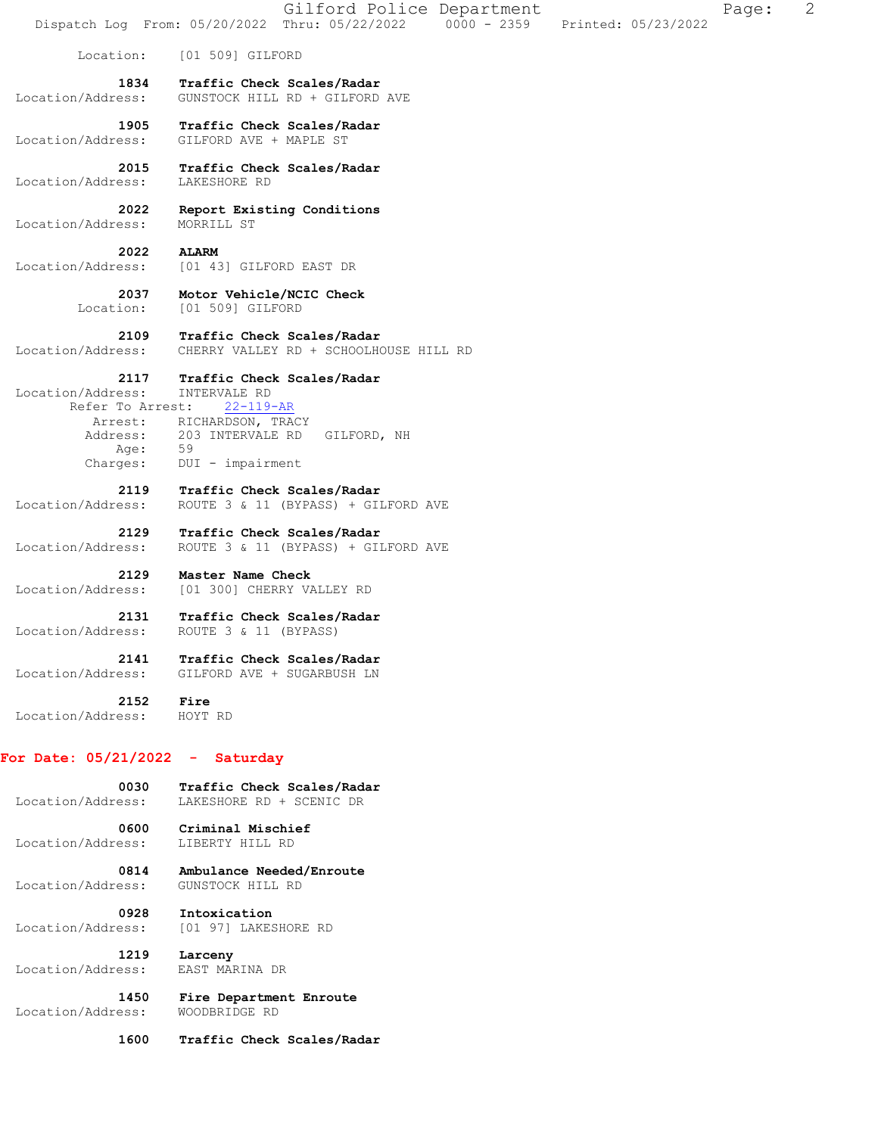|                                               | Gilford Police Department<br>Page:<br>Dispatch Log From: 05/20/2022 Thru: 05/22/2022 0000 - 2359<br>Printed: 05/23/2022 | 2 |
|-----------------------------------------------|-------------------------------------------------------------------------------------------------------------------------|---|
| Location:                                     | [01 509] GILFORD                                                                                                        |   |
| 1834<br>Location/Address:                     | Traffic Check Scales/Radar<br>GUNSTOCK HILL RD + GILFORD AVE                                                            |   |
| 1905<br>Location/Address:                     | Traffic Check Scales/Radar<br>GILFORD AVE + MAPLE ST                                                                    |   |
| 2015<br>Location/Address:                     | Traffic Check Scales/Radar<br>LAKESHORE RD                                                                              |   |
| 2022<br>Location/Address:                     | Report Existing Conditions<br>MORRILL ST                                                                                |   |
| 2022<br>Location/Address:                     | <b>ALARM</b><br>[01 43] GILFORD EAST DR                                                                                 |   |
| 2037<br>Location:                             | Motor Vehicle/NCIC Check<br>[01 509] GILFORD                                                                            |   |
| 2109<br>Location/Address:                     | Traffic Check Scales/Radar<br>CHERRY VALLEY RD + SCHOOLHOUSE HILL RD                                                    |   |
| 2117<br>Location/Address:<br>Refer To Arrest: | Traffic Check Scales/Radar<br>INTERVALE RD<br>$22 - 119 - AR$                                                           |   |
| Arrest:                                       | RICHARDSON, TRACY                                                                                                       |   |
| Address:<br>Age:<br>Charges:                  | 203 INTERVALE RD GILFORD, NH<br>59<br>DUI - impairment                                                                  |   |
| 2119<br>Location/Address:                     | Traffic Check Scales/Radar<br>ROUTE 3 & 11 (BYPASS) + GILFORD AVE                                                       |   |
| 2129<br>Location/Address:                     | Traffic Check Scales/Radar<br>ROUTE 3 & 11 (BYPASS) + GILFORD AVE                                                       |   |
| 2129<br>Location/Address:                     | Master Name Check<br>[01 300] CHERRY VALLEY RD                                                                          |   |
| 2131<br>Location/Address:                     | Traffic Check Scales/Radar<br>ROUTE 3 & 11 (BYPASS)                                                                     |   |
| 2141<br>Location/Address:                     | Traffic Check Scales/Radar<br>GILFORD AVE + SUGARBUSH LN                                                                |   |
| 2152<br>Location/Address:                     | Fire<br>HOYT RD                                                                                                         |   |
| For Date: $05/21/2022 -$ Saturday             |                                                                                                                         |   |
| 0030<br>Location/Address:                     | Traffic Check Scales/Radar<br>LAKESHORE RD + SCENIC DR                                                                  |   |
| 0600<br>Location/Address:                     | Criminal Mischief<br>LIBERTY HILL RD                                                                                    |   |
| 0814<br>Location/Address:                     | Ambulance Needed/Enroute<br>GUNSTOCK HILL RD                                                                            |   |
| 0928<br>Location/Address:                     | Intoxication<br>[01 97] LAKESHORE RD                                                                                    |   |
| 1219<br>Location/Address:                     | Larceny<br>EAST MARINA DR                                                                                               |   |
| 1450<br>Location/Address:                     | Fire Department Enroute<br>WOODBRIDGE RD                                                                                |   |

 **1600 Traffic Check Scales/Radar**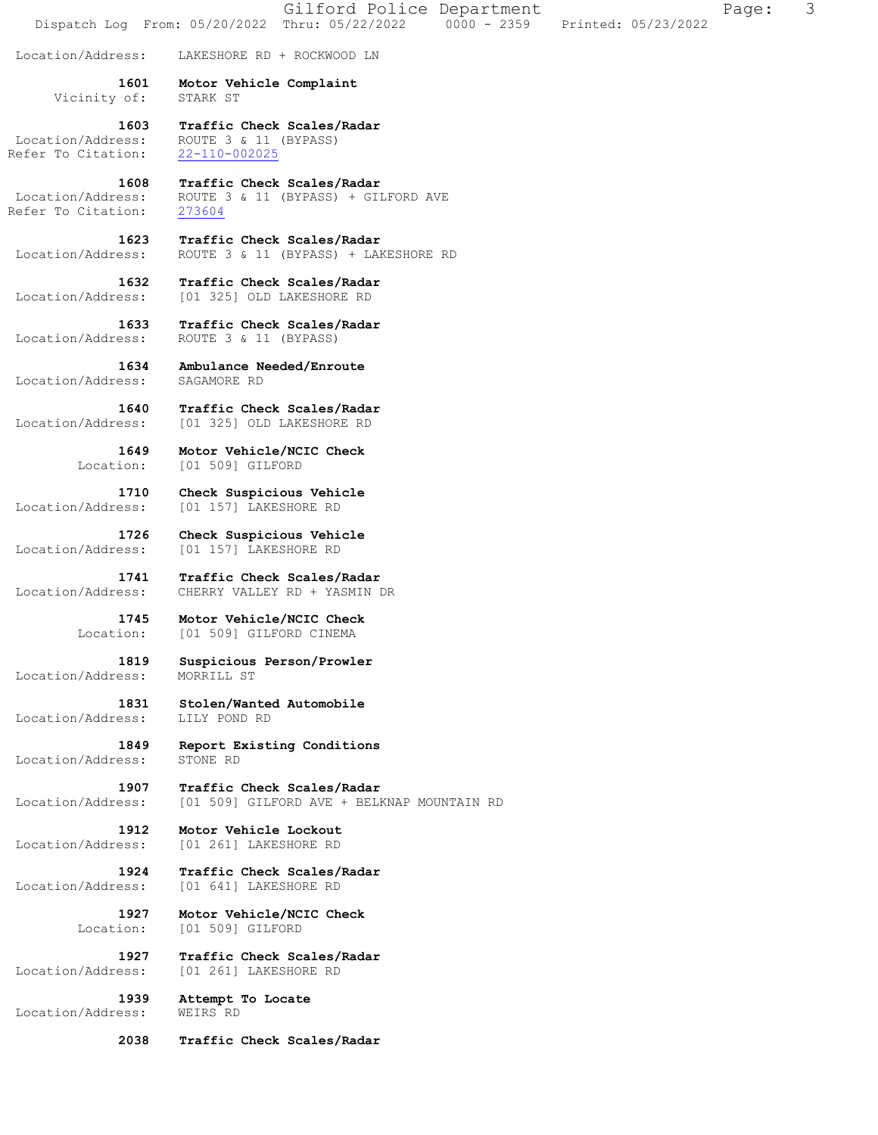Gilford Police Department Fage: 3 Dispatch Log From: 05/20/2022 Thru: 05/22/2022 0000 - 2359 Printed: 05/23/2022 Location/Address: LAKESHORE RD + ROCKWOOD LN  **1601 Motor Vehicle Complaint**  Vicinity of: STARK ST  **1603 Traffic Check Scales/Radar**  Location/Address: ROUTE 3 & 11 (BYPASS) Refer To Citation: 22-110-002025  **1608 Traffic Check Scales/Radar**  Location/Address: ROUTE 3 & 11 (BYPASS) + GILFORD AVE<br>Refer To Citation: 273604 Refer To Citation:  **1623 Traffic Check Scales/Radar**  Location/Address: ROUTE 3 & 11 (BYPASS) + LAKESHORE RD  **1632 Traffic Check Scales/Radar**  Location/Address: [01 325] OLD LAKESHORE RD  **1633 Traffic Check Scales/Radar**  Location/Address: ROUTE 3 & 11 (BYPASS)  **1634 Ambulance Needed/Enroute**  Location/Address: SAGAMORE RD  **1640 Traffic Check Scales/Radar**  Location/Address: [01 325] OLD LAKESHORE RD  **1649 Motor Vehicle/NCIC Check**  Location: [01 509] GILFORD  **1710 Check Suspicious Vehicle**  Location/Address: [01 157] LAKESHORE RD  **1726 Check Suspicious Vehicle**  Location/Address: [01 157] LAKESHORE RD  **1741 Traffic Check Scales/Radar**  Location/Address: CHERRY VALLEY RD + YASMIN DR  **1745 Motor Vehicle/NCIC Check**  Location: [01 509] GILFORD CINEMA  **1819 Suspicious Person/Prowler**  Location/Address: MORRILL ST  **1831 Stolen/Wanted Automobile**  Location/Address: LILY POND RD  **1849 Report Existing Conditions**  Location/Address: STONE RD **1907 Traffic Check Scales/Radar** Location/Address: [01 509] GILFORD AVE + BELF [01 509] GILFORD AVE + BELKNAP MOUNTAIN RD  **1912 Motor Vehicle Lockout**  Location/Address: [01 261] LAKESHORE RD  **1924 Traffic Check Scales/Radar**  Location/Address: [01 641] LAKESHORE RD  **1927 Motor Vehicle/NCIC Check**  Location: [01 509] GILFORD  **1927 Traffic Check Scales/Radar**  Location/Address: [01 261] LAKESHORE RD  **1939 Attempt To Locate**  Location/Address: WEIRS RD  **2038 Traffic Check Scales/Radar**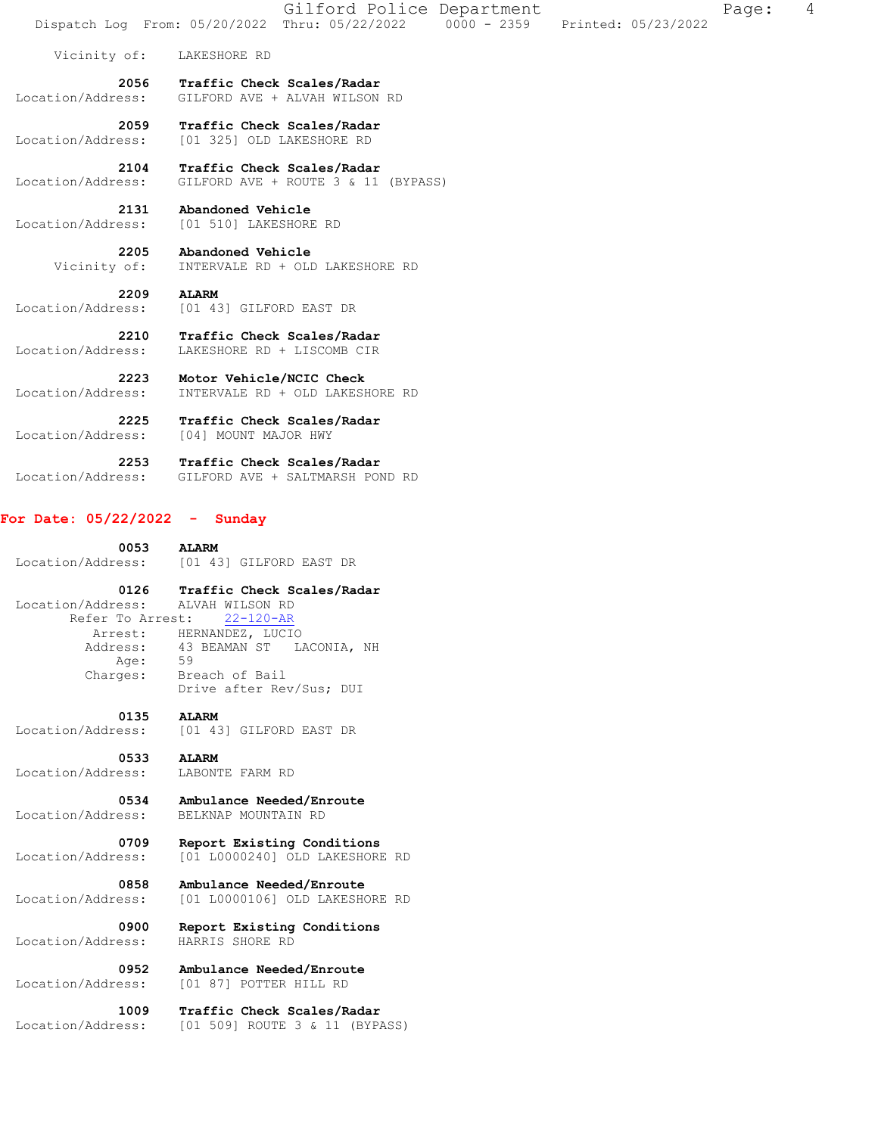|                                               | Gilford Police Department<br>Dispatch Log From: 05/20/2022 Thru: 05/22/2022 0000 - 2359 Printed: 05/23/2022 | 4<br>Page: |
|-----------------------------------------------|-------------------------------------------------------------------------------------------------------------|------------|
| Vicinity of:                                  | LAKESHORE RD                                                                                                |            |
| 2056<br>Location/Address:                     | Traffic Check Scales/Radar<br>GILFORD AVE + ALVAH WILSON RD                                                 |            |
| 2059<br>Location/Address:                     | Traffic Check Scales/Radar<br>[01 325] OLD LAKESHORE RD                                                     |            |
| 2104<br>Location/Address:                     | Traffic Check Scales/Radar<br>GILFORD AVE + ROUTE 3 & 11 (BYPASS)                                           |            |
| 2131<br>Location/Address:                     | Abandoned Vehicle<br>[01 510] LAKESHORE RD                                                                  |            |
| 2205<br>Vicinity of:                          | Abandoned Vehicle<br>INTERVALE RD + OLD LAKESHORE RD                                                        |            |
| 2209<br>Location/Address:                     | <b>ALARM</b><br>[01 43] GILFORD EAST DR                                                                     |            |
| 2210<br>Location/Address:                     | Traffic Check Scales/Radar<br>LAKESHORE RD + LISCOMB CIR                                                    |            |
| 2223<br>Location/Address:                     | Motor Vehicle/NCIC Check<br>INTERVALE RD + OLD LAKESHORE RD                                                 |            |
| 2225<br>Location/Address:                     | Traffic Check Scales/Radar<br>[04] MOUNT MAJOR HWY                                                          |            |
| 2253<br>Location/Address:                     | Traffic Check Scales/Radar<br>GILFORD AVE + SALTMARSH POND RD                                               |            |
| For Date: $05/22/2022 -$ Sunday               |                                                                                                             |            |
| 0053<br>Location/Address:                     | <b>ALARM</b><br>[01 43] GILFORD EAST DR                                                                     |            |
| 0126<br>Location/Address:<br>Refer To Arrest: | Traffic Check Scales/Radar<br>ALVAH WILSON RD<br>$22 - 120 - AR$                                            |            |
| Arrest:<br>Address:                           | HERNANDEZ, LUCIO<br>43 BEAMAN ST<br>LACONIA, NH                                                             |            |
| Age:<br>Charges:                              | 59<br>Breach of Bail<br>Drive after Rev/Sus; DUI                                                            |            |
| 0135<br>Location/Address:                     | <b>ALARM</b><br>[01 43] GILFORD EAST DR                                                                     |            |
| 0533<br>Location/Address:                     | <b>ALARM</b><br>LABONTE FARM RD                                                                             |            |
| 0534<br>Location/Address:                     | Ambulance Needed/Enroute<br>BELKNAP MOUNTAIN RD                                                             |            |
| 0709<br>Location/Address:                     | Report Existing Conditions<br>[01 L0000240] OLD LAKESHORE RD                                                |            |
| 0858<br>Location/Address:                     | Ambulance Needed/Enroute<br>[01 L0000106] OLD LAKESHORE RD                                                  |            |
| 0900<br>Location/Address:                     | Report Existing Conditions<br>HARRIS SHORE RD                                                               |            |
| 0952                                          | Ambulance Needed/Enroute                                                                                    |            |

Location/Address: [01 87] POTTER HILL RD

 **1009 Traffic Check Scales/Radar** 

Location/Address: [01 509] ROUTE 3 & 11 (BYPASS)